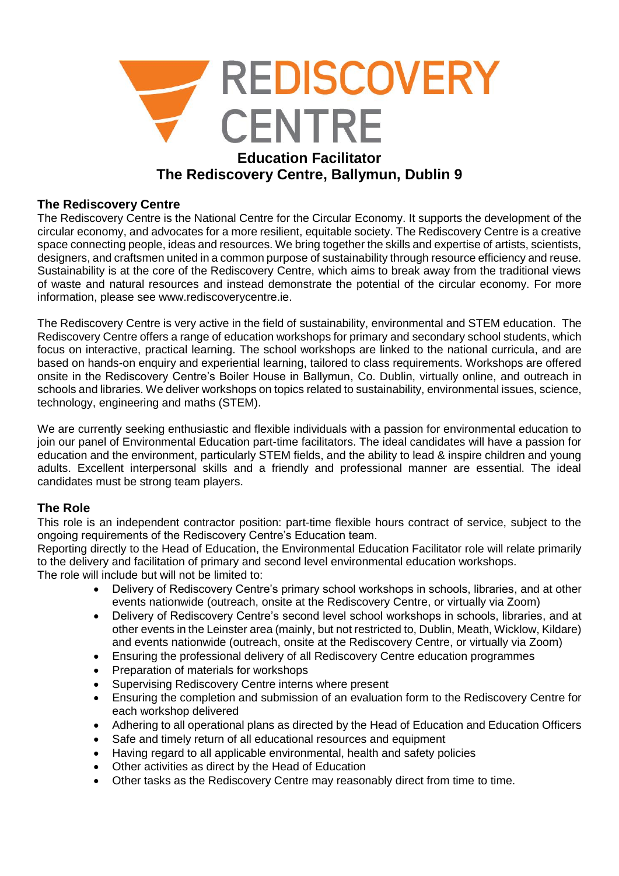

### **The Rediscovery Centre**

The Rediscovery Centre is the National Centre for the Circular Economy. It supports the development of the circular economy, and advocates for a more resilient, equitable society. The Rediscovery Centre is a creative space connecting people, ideas and resources. We bring together the skills and expertise of artists, scientists, designers, and craftsmen united in a common purpose of sustainability through resource efficiency and reuse. Sustainability is at the core of the Rediscovery Centre, which aims to break away from the traditional views of waste and natural resources and instead demonstrate the potential of the circular economy. For more information, please see www.rediscoverycentre.ie.

The Rediscovery Centre is very active in the field of sustainability, environmental and STEM education. The Rediscovery Centre offers a range of education workshops for primary and secondary school students, which focus on interactive, practical learning. The school workshops are linked to the national curricula, and are based on hands-on enquiry and experiential learning, tailored to class requirements. Workshops are offered onsite in the Rediscovery Centre's Boiler House in Ballymun, Co. Dublin, virtually online, and outreach in schools and libraries. We deliver workshops on topics related to sustainability, environmental issues, science, technology, engineering and maths (STEM).

We are currently seeking enthusiastic and flexible individuals with a passion for environmental education to join our panel of Environmental Education part-time facilitators. The ideal candidates will have a passion for education and the environment, particularly STEM fields, and the ability to lead & inspire children and young adults. Excellent interpersonal skills and a friendly and professional manner are essential. The ideal candidates must be strong team players.

### **The Role**

This role is an independent contractor position: part-time flexible hours contract of service, subject to the ongoing requirements of the Rediscovery Centre's Education team.

Reporting directly to the Head of Education, the Environmental Education Facilitator role will relate primarily to the delivery and facilitation of primary and second level environmental education workshops. The role will include but will not be limited to:

- Delivery of Rediscovery Centre's primary school workshops in schools, libraries, and at other events nationwide (outreach, onsite at the Rediscovery Centre, or virtually via Zoom)
- Delivery of Rediscovery Centre's second level school workshops in schools, libraries, and at other events in the Leinster area (mainly, but not restricted to, Dublin, Meath, Wicklow, Kildare) and events nationwide (outreach, onsite at the Rediscovery Centre, or virtually via Zoom)
- Ensuring the professional delivery of all Rediscovery Centre education programmes
- Preparation of materials for workshops
- Supervising Rediscovery Centre interns where present
- Ensuring the completion and submission of an evaluation form to the Rediscovery Centre for each workshop delivered
- Adhering to all operational plans as directed by the Head of Education and Education Officers
- Safe and timely return of all educational resources and equipment
- Having regard to all applicable environmental, health and safety policies
- Other activities as direct by the Head of Education
- Other tasks as the Rediscovery Centre may reasonably direct from time to time.